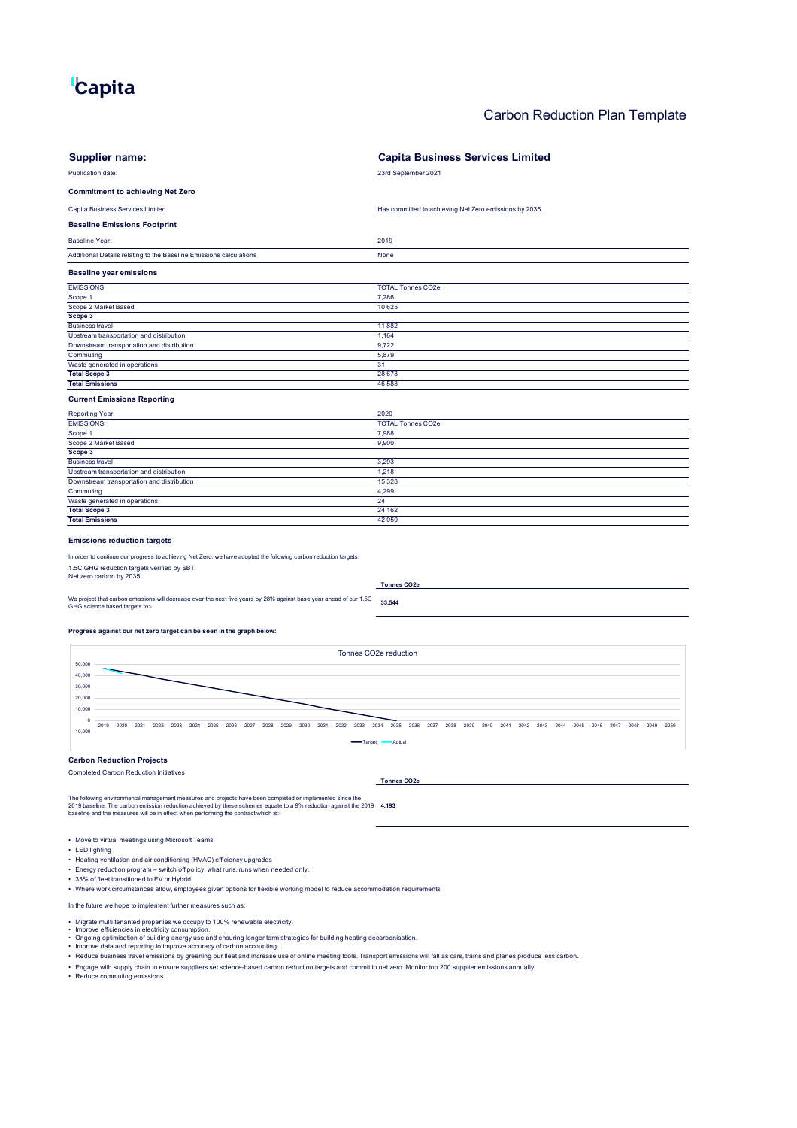# **Capita**

## Carbon Reduction Plan Template

| <b>Supplier name:</b>                                                                                                                                                                                                                                                                                                      | <b>Capita Business Services Limited</b>                                                    |
|----------------------------------------------------------------------------------------------------------------------------------------------------------------------------------------------------------------------------------------------------------------------------------------------------------------------------|--------------------------------------------------------------------------------------------|
| Publication date:                                                                                                                                                                                                                                                                                                          | 23rd September 2021                                                                        |
|                                                                                                                                                                                                                                                                                                                            |                                                                                            |
| <b>Commitment to achieving Net Zero</b>                                                                                                                                                                                                                                                                                    |                                                                                            |
| Capita Business Services Limited                                                                                                                                                                                                                                                                                           | Has committed to achieving Net Zero emissions by 2035.                                     |
| <b>Baseline Emissions Footprint</b>                                                                                                                                                                                                                                                                                        |                                                                                            |
| <b>Baseline Year:</b>                                                                                                                                                                                                                                                                                                      | 2019                                                                                       |
| Additional Details relating to the Baseline Emissions calculations                                                                                                                                                                                                                                                         | None                                                                                       |
| <b>Baseline year emissions</b>                                                                                                                                                                                                                                                                                             |                                                                                            |
| <b>EMISSIONS</b>                                                                                                                                                                                                                                                                                                           | <b>TOTAL Tonnes CO2e</b>                                                                   |
| Scope 1                                                                                                                                                                                                                                                                                                                    | 7,286                                                                                      |
| Scope 2 Market Based                                                                                                                                                                                                                                                                                                       | 10,625                                                                                     |
| Scope 3                                                                                                                                                                                                                                                                                                                    |                                                                                            |
| <b>Business travel</b><br>Upstream transportation and distribution                                                                                                                                                                                                                                                         | 11,882<br>1,164                                                                            |
| Downstream transportation and distribution                                                                                                                                                                                                                                                                                 | 9,722                                                                                      |
| Commuting                                                                                                                                                                                                                                                                                                                  | 5,879                                                                                      |
| Waste generated in operations                                                                                                                                                                                                                                                                                              | 31                                                                                         |
| <b>Total Scope 3</b>                                                                                                                                                                                                                                                                                                       | 28,678                                                                                     |
| <b>Total Emissions</b>                                                                                                                                                                                                                                                                                                     | 46,588                                                                                     |
| <b>Current Emissions Reporting</b>                                                                                                                                                                                                                                                                                         |                                                                                            |
| Reporting Year:                                                                                                                                                                                                                                                                                                            | 2020                                                                                       |
| <b>EMISSIONS</b>                                                                                                                                                                                                                                                                                                           | <b>TOTAL Tonnes CO2e</b>                                                                   |
| Scope 1                                                                                                                                                                                                                                                                                                                    | 7,988                                                                                      |
| Scope 2 Market Based                                                                                                                                                                                                                                                                                                       | 9,900                                                                                      |
| Scope 3                                                                                                                                                                                                                                                                                                                    |                                                                                            |
| <b>Business travel</b>                                                                                                                                                                                                                                                                                                     | 3,293                                                                                      |
| Upstream transportation and distribution                                                                                                                                                                                                                                                                                   | 1,218                                                                                      |
| Downstream transportation and distribution                                                                                                                                                                                                                                                                                 | 15,328                                                                                     |
| Commuting                                                                                                                                                                                                                                                                                                                  | 4,299                                                                                      |
| Waste generated in operations                                                                                                                                                                                                                                                                                              | 24                                                                                         |
| <b>Total Scope 3</b>                                                                                                                                                                                                                                                                                                       | 24,162                                                                                     |
| <b>Total Emissions</b>                                                                                                                                                                                                                                                                                                     | 42,050                                                                                     |
| <b>Emissions reduction targets</b><br>In order to continue our progress to achieving Net Zero, we have adopted the following carbon reduction targets.<br>1.5C GHG reduction targets verified by SBTi<br>Net zero carbon by 2035<br><b>Tonnes CO2e</b>                                                                     |                                                                                            |
|                                                                                                                                                                                                                                                                                                                            |                                                                                            |
| We project that carbon emissions will decrease over the next five years by 28% against base year ahead of our 1.5C<br>GHG science based targets to:-                                                                                                                                                                       | 33,544                                                                                     |
|                                                                                                                                                                                                                                                                                                                            |                                                                                            |
| Progress against our net zero target can be seen in the graph below:                                                                                                                                                                                                                                                       |                                                                                            |
| Tonnes CO2e reduction                                                                                                                                                                                                                                                                                                      |                                                                                            |
| 50,000                                                                                                                                                                                                                                                                                                                     |                                                                                            |
| 40,000                                                                                                                                                                                                                                                                                                                     |                                                                                            |
| 30,000                                                                                                                                                                                                                                                                                                                     |                                                                                            |
| 20,000                                                                                                                                                                                                                                                                                                                     |                                                                                            |
| 10,000                                                                                                                                                                                                                                                                                                                     |                                                                                            |
|                                                                                                                                                                                                                                                                                                                            |                                                                                            |
| 2019 2020 2021 2022 2023<br>2024 2025 2026<br>2030 2031<br>2032 2033<br>2027 2028 2029<br>$-10,000$                                                                                                                                                                                                                        | 2034<br>2035 2036 2037 2038 2039 2040 2041 2042 2043 2044 2045 2046 2047 2048 2049<br>2050 |
| -Target<br>Actual                                                                                                                                                                                                                                                                                                          |                                                                                            |
| <b>Carbon Reduction Projects</b>                                                                                                                                                                                                                                                                                           |                                                                                            |
| Completed Carbon Reduction Initiatives                                                                                                                                                                                                                                                                                     |                                                                                            |
|                                                                                                                                                                                                                                                                                                                            | <b>Tonnes CO2e</b>                                                                         |
| The following environmental management measures and projects have been completed or implemented since the<br>2019 baseline. The carbon emission reduction achieved by these schemes equate to a 9% reduction against the 2019 4,193<br>baseline and the measures will be in effect when performing the contract which is:- |                                                                                            |
| • Move to virtual meetings using Microsoft Teams<br>• LED lighting<br>• Heating ventilation and air conditioning (HVAC) efficiency upgrades<br>. Energy reduction program – switch off policy, what runs, runs when needed only.                                                                                           |                                                                                            |

• 33% of fleet transitioned to EV or Hybrid • Where work circumstances allow, employees given options for flexible working model to reduce accommodation requirements

In the future we hope to implement further measures such as:

- 
- 
- 
- Migrate multi tenanted properties we occupy to 100% renewable electricity.<br>• Improve efficiencies in electricity consumption.<br>• Improve data and reporting to improve accuracy of carbon accounting.<br>• Meduce business tra
- Engage with supply chain to ensure suppliers set science-based carbon reduction targets and commit to net zero. Monitor top 200 supplier emissions annually<br>• Reduce commuting emissions